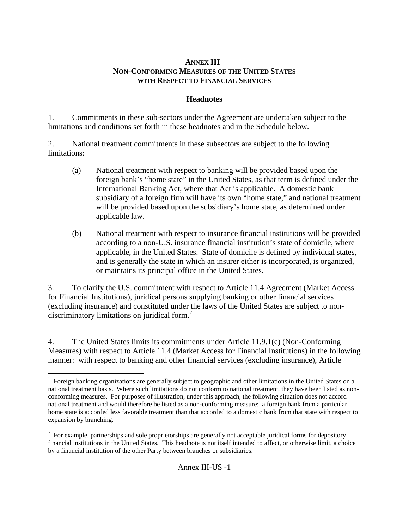## **ANNEX III NON-CONFORMING MEASURES OF THE UNITED STATES WITH RESPECT TO FINANCIAL SERVICES**

## **Headnotes**

1. Commitments in these sub-sectors under the Agreement are undertaken subject to the limitations and conditions set forth in these headnotes and in the Schedule below.

2. National treatment commitments in these subsectors are subject to the following limitations:

- (a) National treatment with respect to banking will be provided based upon the foreign bank's "home state" in the United States, as that term is defined under the International Banking Act, where that Act is applicable. A domestic bank subsidiary of a foreign firm will have its own "home state," and national treatment will be provided based upon the subsidiary's home state, as determined under applicable  $law<sup>1</sup>$
- (b) National treatment with respect to insurance financial institutions will be provided according to a non-U.S. insurance financial institution's state of domicile, where applicable, in the United States. State of domicile is defined by individual states, and is generally the state in which an insurer either is incorporated, is organized, or maintains its principal office in the United States.

3. To clarify the U.S. commitment with respect to Article 11.4 Agreement (Market Access for Financial Institutions), juridical persons supplying banking or other financial services (excluding insurance) and constituted under the laws of the United States are subject to nondiscriminatory limitations on juridical form.<sup>2</sup>

4. The United States limits its commitments under Article 11.9.1(c) (Non-Conforming Measures) with respect to Article 11.4 (Market Access for Financial Institutions) in the following manner: with respect to banking and other financial services (excluding insurance), Article

 $\overline{a}$ <sup>1</sup> Foreign banking organizations are generally subject to geographic and other limitations in the United States on a national treatment basis. Where such limitations do not conform to national treatment, they have been listed as nonconforming measures. For purposes of illustration, under this approach, the following situation does not accord national treatment and would therefore be listed as a non-conforming measure: a foreign bank from a particular home state is accorded less favorable treatment than that accorded to a domestic bank from that state with respect to expansion by branching.

 $2^2$  For example, partnerships and sole proprietorships are generally not acceptable juridical forms for depository financial institutions in the United States. This headnote is not itself intended to affect, or otherwise limit, a choice by a financial institution of the other Party between branches or subsidiaries.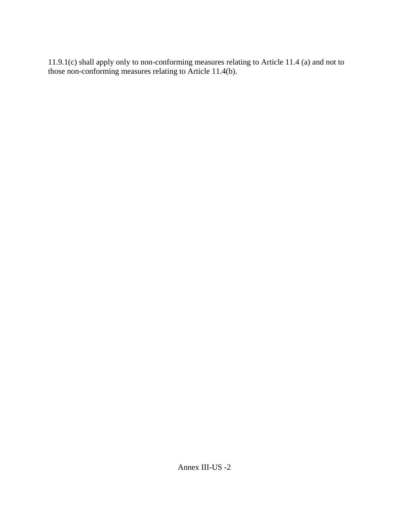11.9.1(c) shall apply only to non-conforming measures relating to Article 11.4 (a) and not to those non-conforming measures relating to Article 11.4(b).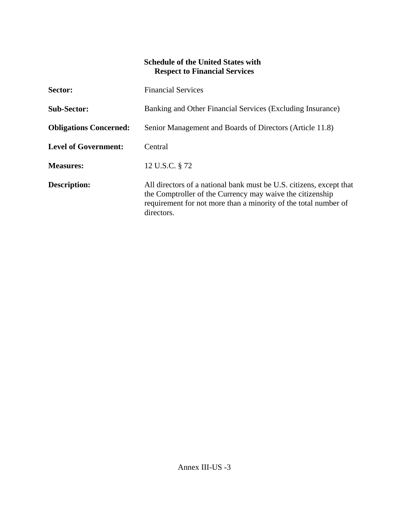## **Schedule of the United States with Respect to Financial Services**

| Sector:                       | <b>Financial Services</b>                                                                                                                                                                                         |
|-------------------------------|-------------------------------------------------------------------------------------------------------------------------------------------------------------------------------------------------------------------|
| <b>Sub-Sector:</b>            | Banking and Other Financial Services (Excluding Insurance)                                                                                                                                                        |
| <b>Obligations Concerned:</b> | Senior Management and Boards of Directors (Article 11.8)                                                                                                                                                          |
| <b>Level of Government:</b>   | Central                                                                                                                                                                                                           |
| <b>Measures:</b>              | 12 U.S.C. § 72                                                                                                                                                                                                    |
| <b>Description:</b>           | All directors of a national bank must be U.S. citizens, except that<br>the Comptroller of the Currency may waive the citizenship<br>requirement for not more than a minority of the total number of<br>directors. |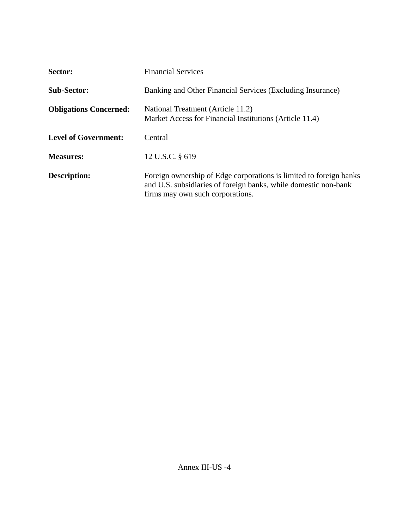| Sector:                       | <b>Financial Services</b>                                                                                                                                                 |
|-------------------------------|---------------------------------------------------------------------------------------------------------------------------------------------------------------------------|
| <b>Sub-Sector:</b>            | Banking and Other Financial Services (Excluding Insurance)                                                                                                                |
| <b>Obligations Concerned:</b> | National Treatment (Article 11.2)<br>Market Access for Financial Institutions (Article 11.4)                                                                              |
| <b>Level of Government:</b>   | Central                                                                                                                                                                   |
| <b>Measures:</b>              | 12 U.S.C. § 619                                                                                                                                                           |
| <b>Description:</b>           | Foreign ownership of Edge corporations is limited to foreign banks<br>and U.S. subsidiaries of foreign banks, while domestic non-bank<br>firms may own such corporations. |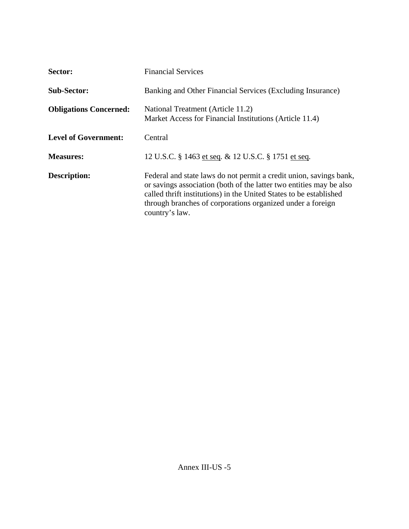| Sector:                       | <b>Financial Services</b>                                                                                                                                                                                                                                                                       |
|-------------------------------|-------------------------------------------------------------------------------------------------------------------------------------------------------------------------------------------------------------------------------------------------------------------------------------------------|
| <b>Sub-Sector:</b>            | Banking and Other Financial Services (Excluding Insurance)                                                                                                                                                                                                                                      |
| <b>Obligations Concerned:</b> | National Treatment (Article 11.2)<br>Market Access for Financial Institutions (Article 11.4)                                                                                                                                                                                                    |
| <b>Level of Government:</b>   | Central                                                                                                                                                                                                                                                                                         |
| <b>Measures:</b>              | 12 U.S.C. § 1463 et seq. & 12 U.S.C. § 1751 et seq.                                                                                                                                                                                                                                             |
| <b>Description:</b>           | Federal and state laws do not permit a credit union, savings bank,<br>or savings association (both of the latter two entities may be also<br>called thrift institutions) in the United States to be established<br>through branches of corporations organized under a foreign<br>country's law. |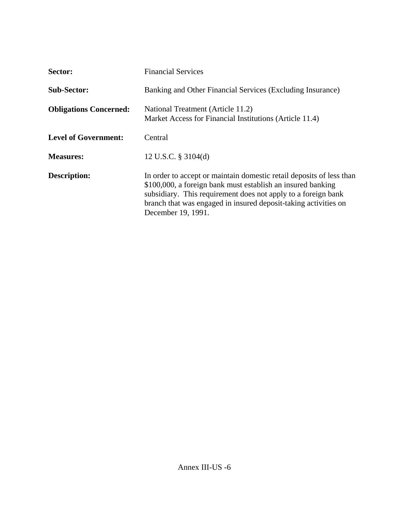| Sector:                       | <b>Financial Services</b>                                                                                                                                                                                                                                                                     |
|-------------------------------|-----------------------------------------------------------------------------------------------------------------------------------------------------------------------------------------------------------------------------------------------------------------------------------------------|
| <b>Sub-Sector:</b>            | Banking and Other Financial Services (Excluding Insurance)                                                                                                                                                                                                                                    |
| <b>Obligations Concerned:</b> | National Treatment (Article 11.2)<br>Market Access for Financial Institutions (Article 11.4)                                                                                                                                                                                                  |
| <b>Level of Government:</b>   | Central                                                                                                                                                                                                                                                                                       |
| <b>Measures:</b>              | 12 U.S.C. $\S$ 3104(d)                                                                                                                                                                                                                                                                        |
| <b>Description:</b>           | In order to accept or maintain domestic retail deposits of less than<br>\$100,000, a foreign bank must establish an insured banking<br>subsidiary. This requirement does not apply to a foreign bank<br>branch that was engaged in insured deposit-taking activities on<br>December 19, 1991. |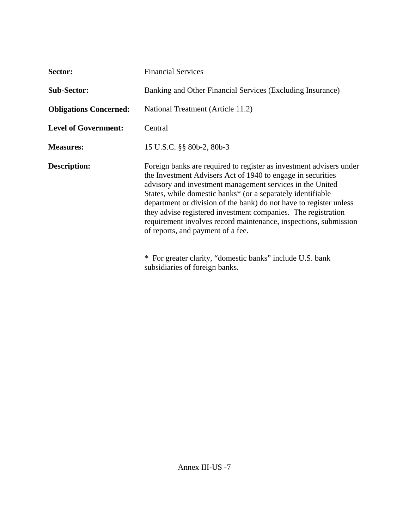| Sector:                       | <b>Financial Services</b>                                                                                                                                                                                                                                                                                                                                                                                                                                                                                                                                                                                     |
|-------------------------------|---------------------------------------------------------------------------------------------------------------------------------------------------------------------------------------------------------------------------------------------------------------------------------------------------------------------------------------------------------------------------------------------------------------------------------------------------------------------------------------------------------------------------------------------------------------------------------------------------------------|
| <b>Sub-Sector:</b>            | Banking and Other Financial Services (Excluding Insurance)                                                                                                                                                                                                                                                                                                                                                                                                                                                                                                                                                    |
| <b>Obligations Concerned:</b> | National Treatment (Article 11.2)                                                                                                                                                                                                                                                                                                                                                                                                                                                                                                                                                                             |
| <b>Level of Government:</b>   | Central                                                                                                                                                                                                                                                                                                                                                                                                                                                                                                                                                                                                       |
| <b>Measures:</b>              | 15 U.S.C. §§ 80b-2, 80b-3                                                                                                                                                                                                                                                                                                                                                                                                                                                                                                                                                                                     |
| <b>Description:</b>           | Foreign banks are required to register as investment advisers under<br>the Investment Advisers Act of 1940 to engage in securities<br>advisory and investment management services in the United<br>States, while domestic banks* (or a separately identifiable<br>department or division of the bank) do not have to register unless<br>they advise registered investment companies. The registration<br>requirement involves record maintenance, inspections, submission<br>of reports, and payment of a fee.<br>* For greater clarity, "domestic banks" include U.S. bank<br>subsidiaries of foreign banks. |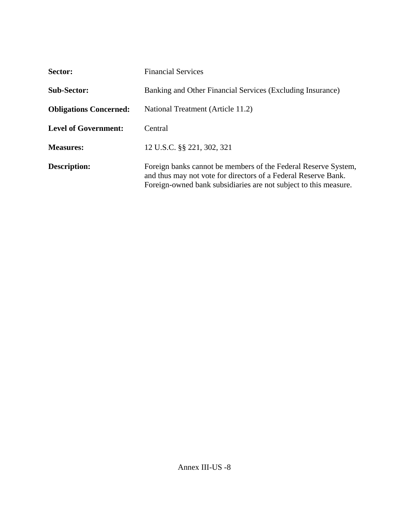| Sector:                       | <b>Financial Services</b>                                                                                                                                                                            |
|-------------------------------|------------------------------------------------------------------------------------------------------------------------------------------------------------------------------------------------------|
| <b>Sub-Sector:</b>            | Banking and Other Financial Services (Excluding Insurance)                                                                                                                                           |
| <b>Obligations Concerned:</b> | National Treatment (Article 11.2)                                                                                                                                                                    |
| <b>Level of Government:</b>   | Central                                                                                                                                                                                              |
| <b>Measures:</b>              | 12 U.S.C. §§ 221, 302, 321                                                                                                                                                                           |
| <b>Description:</b>           | Foreign banks cannot be members of the Federal Reserve System,<br>and thus may not vote for directors of a Federal Reserve Bank.<br>Foreign-owned bank subsidiaries are not subject to this measure. |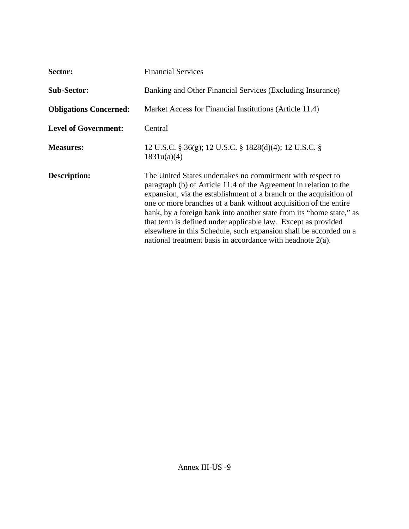| Sector:                       | <b>Financial Services</b>                                                                                                                                                                                                                                                                                                                                                                                                                                                                                                                             |
|-------------------------------|-------------------------------------------------------------------------------------------------------------------------------------------------------------------------------------------------------------------------------------------------------------------------------------------------------------------------------------------------------------------------------------------------------------------------------------------------------------------------------------------------------------------------------------------------------|
| <b>Sub-Sector:</b>            | Banking and Other Financial Services (Excluding Insurance)                                                                                                                                                                                                                                                                                                                                                                                                                                                                                            |
| <b>Obligations Concerned:</b> | Market Access for Financial Institutions (Article 11.4)                                                                                                                                                                                                                                                                                                                                                                                                                                                                                               |
| <b>Level of Government:</b>   | Central                                                                                                                                                                                                                                                                                                                                                                                                                                                                                                                                               |
| <b>Measures:</b>              | 12 U.S.C. § 36(g); 12 U.S.C. § 1828(d)(4); 12 U.S.C. §<br>1831u(a)(4)                                                                                                                                                                                                                                                                                                                                                                                                                                                                                 |
| <b>Description:</b>           | The United States undertakes no commitment with respect to<br>paragraph (b) of Article 11.4 of the Agreement in relation to the<br>expansion, via the establishment of a branch or the acquisition of<br>one or more branches of a bank without acquisition of the entire<br>bank, by a foreign bank into another state from its "home state," as<br>that term is defined under applicable law. Except as provided<br>elsewhere in this Schedule, such expansion shall be accorded on a<br>national treatment basis in accordance with headnote 2(a). |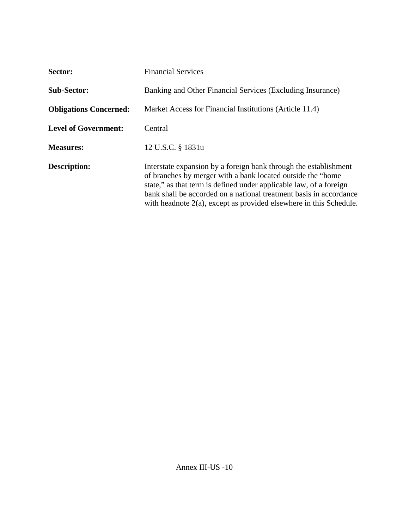| Sector:                       | <b>Financial Services</b>                                                                                                                                                                                                                                                                                                                             |
|-------------------------------|-------------------------------------------------------------------------------------------------------------------------------------------------------------------------------------------------------------------------------------------------------------------------------------------------------------------------------------------------------|
| <b>Sub-Sector:</b>            | Banking and Other Financial Services (Excluding Insurance)                                                                                                                                                                                                                                                                                            |
| <b>Obligations Concerned:</b> | Market Access for Financial Institutions (Article 11.4)                                                                                                                                                                                                                                                                                               |
| <b>Level of Government:</b>   | Central                                                                                                                                                                                                                                                                                                                                               |
| <b>Measures:</b>              | 12 U.S.C. § 1831u                                                                                                                                                                                                                                                                                                                                     |
| <b>Description:</b>           | Interstate expansion by a foreign bank through the establishment<br>of branches by merger with a bank located outside the "home"<br>state," as that term is defined under applicable law, of a foreign<br>bank shall be accorded on a national treatment basis in accordance<br>with headnote $2(a)$ , except as provided elsewhere in this Schedule. |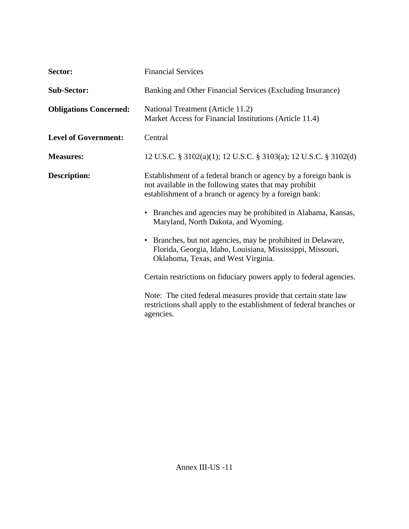| Sector:                       | <b>Financial Services</b>                                                                                                                                                             |
|-------------------------------|---------------------------------------------------------------------------------------------------------------------------------------------------------------------------------------|
| <b>Sub-Sector:</b>            | Banking and Other Financial Services (Excluding Insurance)                                                                                                                            |
| <b>Obligations Concerned:</b> | National Treatment (Article 11.2)<br>Market Access for Financial Institutions (Article 11.4)                                                                                          |
| <b>Level of Government:</b>   | Central                                                                                                                                                                               |
| <b>Measures:</b>              | 12 U.S.C. § 3102(a)(1); 12 U.S.C. § 3103(a); 12 U.S.C. § 3102(d)                                                                                                                      |
| <b>Description:</b>           | Establishment of a federal branch or agency by a foreign bank is<br>not available in the following states that may prohibit<br>establishment of a branch or agency by a foreign bank: |
|                               | Branches and agencies may be prohibited in Alabama, Kansas,<br>$\bullet$<br>Maryland, North Dakota, and Wyoming.                                                                      |
|                               | Branches, but not agencies, may be prohibited in Delaware,<br>$\bullet$<br>Florida, Georgia, Idaho, Louisiana, Mississippi, Missouri,<br>Oklahoma, Texas, and West Virginia.          |
|                               | Certain restrictions on fiduciary powers apply to federal agencies.                                                                                                                   |
|                               | Note: The cited federal measures provide that certain state law<br>restrictions shall apply to the establishment of federal branches or<br>agencies.                                  |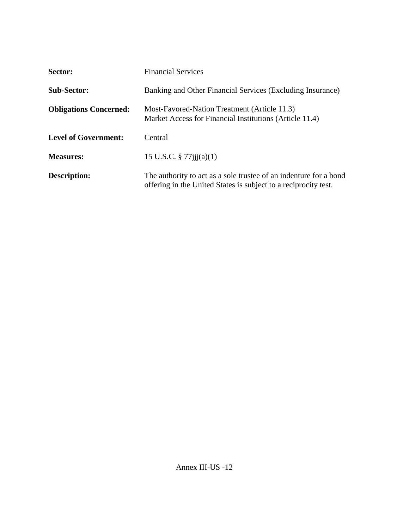| Sector:                       | <b>Financial Services</b>                                                                                                            |
|-------------------------------|--------------------------------------------------------------------------------------------------------------------------------------|
| <b>Sub-Sector:</b>            | Banking and Other Financial Services (Excluding Insurance)                                                                           |
| <b>Obligations Concerned:</b> | Most-Favored-Nation Treatment (Article 11.3)<br>Market Access for Financial Institutions (Article 11.4)                              |
| <b>Level of Government:</b>   | Central                                                                                                                              |
| <b>Measures:</b>              | 15 U.S.C. $\S 77$ iji(a)(1)                                                                                                          |
| <b>Description:</b>           | The authority to act as a sole trustee of an indenture for a bond<br>offering in the United States is subject to a reciprocity test. |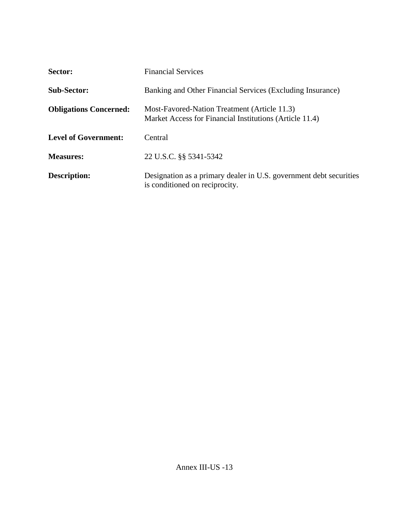| Sector:                       | <b>Financial Services</b>                                                                               |
|-------------------------------|---------------------------------------------------------------------------------------------------------|
| <b>Sub-Sector:</b>            | Banking and Other Financial Services (Excluding Insurance)                                              |
| <b>Obligations Concerned:</b> | Most-Favored-Nation Treatment (Article 11.3)<br>Market Access for Financial Institutions (Article 11.4) |
| <b>Level of Government:</b>   | Central                                                                                                 |
| <b>Measures:</b>              | 22 U.S.C. §§ 5341-5342                                                                                  |
| <b>Description:</b>           | Designation as a primary dealer in U.S. government debt securities<br>is conditioned on reciprocity.    |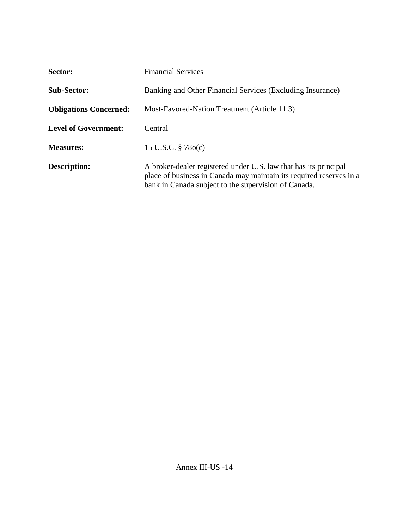| Sector:                       | <b>Financial Services</b>                                                                                                                                                                       |
|-------------------------------|-------------------------------------------------------------------------------------------------------------------------------------------------------------------------------------------------|
| <b>Sub-Sector:</b>            | Banking and Other Financial Services (Excluding Insurance)                                                                                                                                      |
| <b>Obligations Concerned:</b> | Most-Favored-Nation Treatment (Article 11.3)                                                                                                                                                    |
| <b>Level of Government:</b>   | Central                                                                                                                                                                                         |
| <b>Measures:</b>              | 15 U.S.C. $\S$ 78 $o(c)$                                                                                                                                                                        |
| <b>Description:</b>           | A broker-dealer registered under U.S. law that has its principal<br>place of business in Canada may maintain its required reserves in a<br>bank in Canada subject to the supervision of Canada. |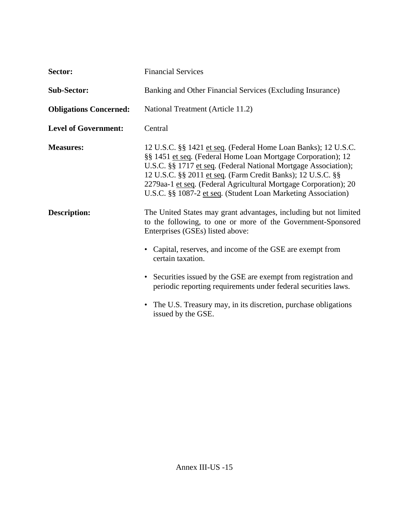| Sector:                       | <b>Financial Services</b>                                                                                                                                                                                                                                                                                                                                                                             |
|-------------------------------|-------------------------------------------------------------------------------------------------------------------------------------------------------------------------------------------------------------------------------------------------------------------------------------------------------------------------------------------------------------------------------------------------------|
| <b>Sub-Sector:</b>            | Banking and Other Financial Services (Excluding Insurance)                                                                                                                                                                                                                                                                                                                                            |
| <b>Obligations Concerned:</b> | National Treatment (Article 11.2)                                                                                                                                                                                                                                                                                                                                                                     |
| <b>Level of Government:</b>   | Central                                                                                                                                                                                                                                                                                                                                                                                               |
| <b>Measures:</b>              | 12 U.S.C. §§ 1421 et seq. (Federal Home Loan Banks); 12 U.S.C.<br>§§ 1451 et seq. (Federal Home Loan Mortgage Corporation); 12<br>U.S.C. §§ 1717 et seq. (Federal National Mortgage Association);<br>12 U.S.C. §§ 2011 et seq. (Farm Credit Banks); 12 U.S.C. §§<br>2279aa-1 et seq. (Federal Agricultural Mortgage Corporation); 20<br>U.S.C. §§ 1087-2 et seq. (Student Loan Marketing Association) |
| <b>Description:</b>           | The United States may grant advantages, including but not limited<br>to the following, to one or more of the Government-Sponsored<br>Enterprises (GSEs) listed above:<br>• Capital, reserves, and income of the GSE are exempt from                                                                                                                                                                   |
|                               | certain taxation.                                                                                                                                                                                                                                                                                                                                                                                     |
|                               | • Securities issued by the GSE are exempt from registration and<br>periodic reporting requirements under federal securities laws.                                                                                                                                                                                                                                                                     |
|                               | • The U.S. Treasury may, in its discretion, purchase obligations<br>issued by the GSE.                                                                                                                                                                                                                                                                                                                |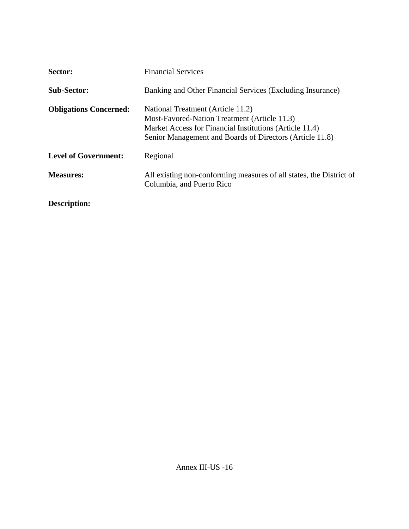| Sector:                       | <b>Financial Services</b>                                                                                                                                                                                |
|-------------------------------|----------------------------------------------------------------------------------------------------------------------------------------------------------------------------------------------------------|
| <b>Sub-Sector:</b>            | Banking and Other Financial Services (Excluding Insurance)                                                                                                                                               |
| <b>Obligations Concerned:</b> | National Treatment (Article 11.2)<br>Most-Favored-Nation Treatment (Article 11.3)<br>Market Access for Financial Institutions (Article 11.4)<br>Senior Management and Boards of Directors (Article 11.8) |
| <b>Level of Government:</b>   | Regional                                                                                                                                                                                                 |
| <b>Measures:</b>              | All existing non-conforming measures of all states, the District of<br>Columbia, and Puerto Rico                                                                                                         |
| <b>Description:</b>           |                                                                                                                                                                                                          |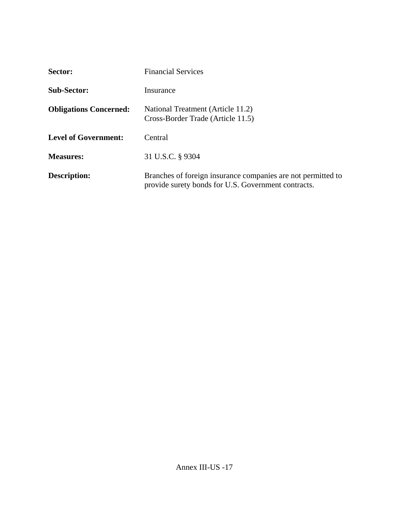| Sector:                       | <b>Financial Services</b>                                                                                           |
|-------------------------------|---------------------------------------------------------------------------------------------------------------------|
| <b>Sub-Sector:</b>            | Insurance                                                                                                           |
| <b>Obligations Concerned:</b> | National Treatment (Article 11.2)<br>Cross-Border Trade (Article 11.5)                                              |
| <b>Level of Government:</b>   | Central                                                                                                             |
| <b>Measures:</b>              | 31 U.S.C. § 9304                                                                                                    |
| <b>Description:</b>           | Branches of foreign insurance companies are not permitted to<br>provide surety bonds for U.S. Government contracts. |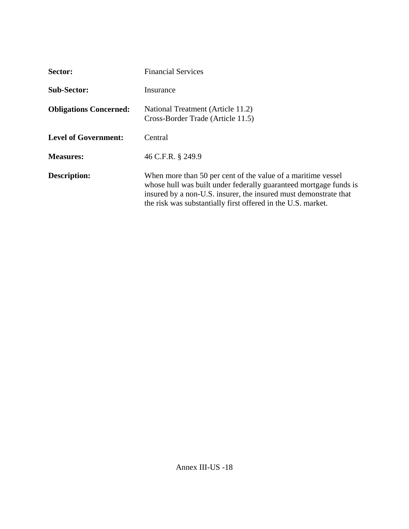| Sector:                       | <b>Financial Services</b>                                                                                                                                                                                                                                             |
|-------------------------------|-----------------------------------------------------------------------------------------------------------------------------------------------------------------------------------------------------------------------------------------------------------------------|
| <b>Sub-Sector:</b>            | Insurance                                                                                                                                                                                                                                                             |
| <b>Obligations Concerned:</b> | National Treatment (Article 11.2)<br>Cross-Border Trade (Article 11.5)                                                                                                                                                                                                |
| <b>Level of Government:</b>   | Central                                                                                                                                                                                                                                                               |
| <b>Measures:</b>              | 46 C.F.R. § 249.9                                                                                                                                                                                                                                                     |
| <b>Description:</b>           | When more than 50 per cent of the value of a maritime vessel<br>whose hull was built under federally guaranteed mortgage funds is<br>insured by a non-U.S. insurer, the insured must demonstrate that<br>the risk was substantially first offered in the U.S. market. |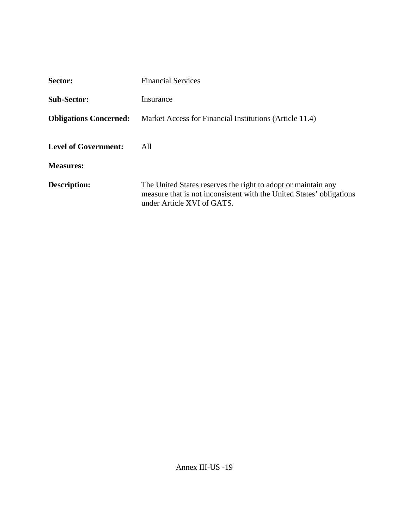| Sector:                       | <b>Financial Services</b>                                                                                                                                           |
|-------------------------------|---------------------------------------------------------------------------------------------------------------------------------------------------------------------|
| <b>Sub-Sector:</b>            | Insurance                                                                                                                                                           |
| <b>Obligations Concerned:</b> | Market Access for Financial Institutions (Article 11.4)                                                                                                             |
| <b>Level of Government:</b>   | All                                                                                                                                                                 |
| <b>Measures:</b>              |                                                                                                                                                                     |
| <b>Description:</b>           | The United States reserves the right to adopt or maintain any<br>measure that is not inconsistent with the United States' obligations<br>under Article XVI of GATS. |